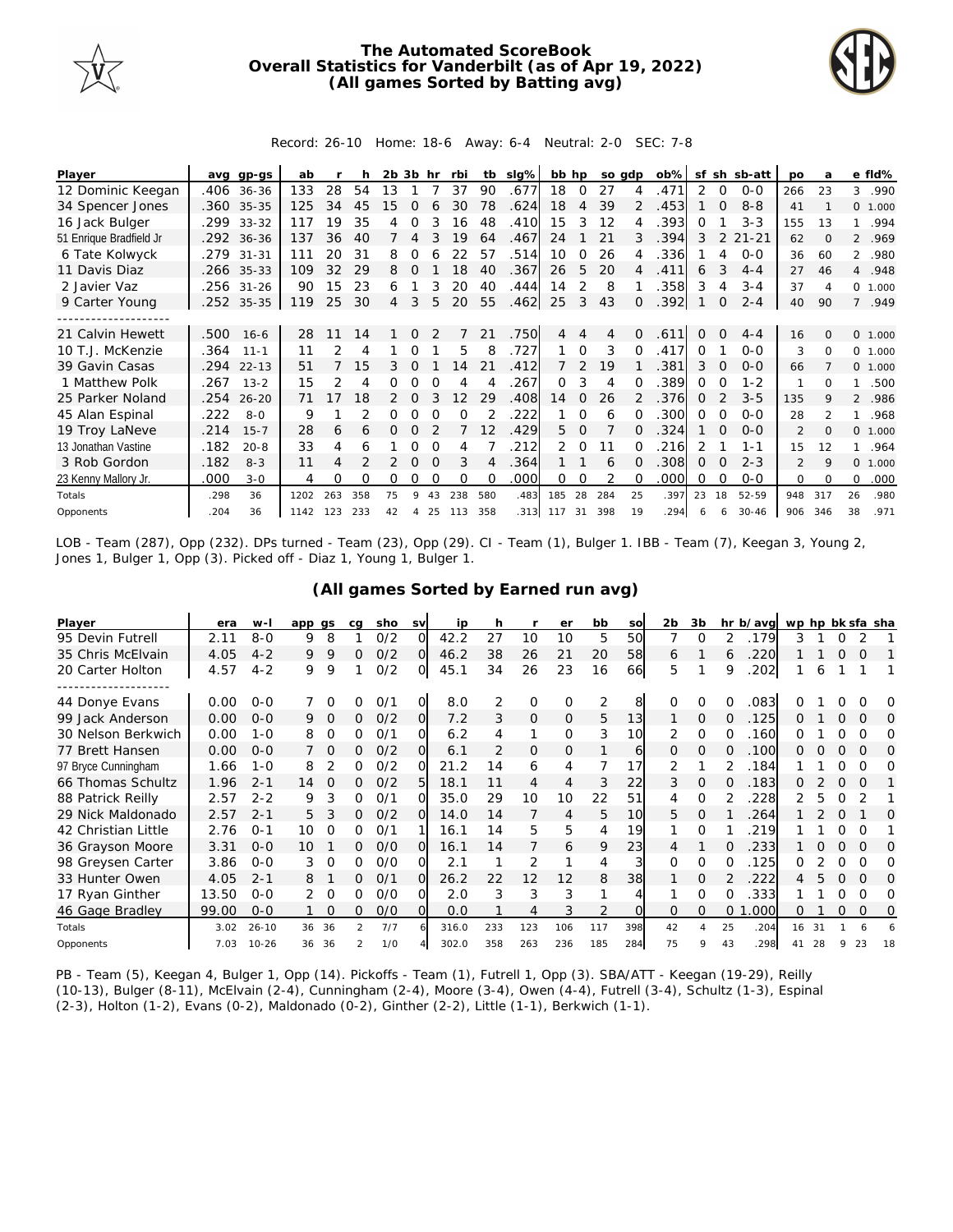

## **The Automated ScoreBook Overall Statistics for Vanderbilt (as of Apr 19, 2022) (All games Sorted by Batting avg)**



Record: 26-10 Home: 18-6 Away: 6-4 Neutral: 2-0 SEC: 7-8

| Player                  | ava  | gp-gs      | ab   |     |     | $2b$ $3b$ hr |                |          | rbi      | tb       | slg% | bb hp  |               | so adp |               | $ob\%$ | sf       |          | sh sb-att | <b>DO</b> | a              |                | e fld%   |
|-------------------------|------|------------|------|-----|-----|--------------|----------------|----------|----------|----------|------|--------|---------------|--------|---------------|--------|----------|----------|-----------|-----------|----------------|----------------|----------|
| 12 Dominic Keegan       | .406 | $36 - 36$  | 133  | 28  | 54  | 13           |                |          | 37       | 90       | .677 | 18     | 0             | 27     |               | 471    | 2        | $\Omega$ | $0 - 0$   | 266       | 23             | 3              | .990     |
| 34 Spencer Jones        |      | .360 35-35 | 125  | 34  | 45  | 15           | O              |          | 30       | 78       | .624 | 18     | 4             | 39     | $\mathcal{P}$ | .453   |          | $\Omega$ | $8 - 8$   | 41        |                |                | 0, 1,000 |
| 16 Jack Bulger          | .299 | $33 - 32$  | 117  | 19  | 35  | 4            | Ω              | 3        | 16       | 48       | .410 | 15     | 3             | 12     | 4             | .393   | Ω        |          | $3 - 3$   | 155       | 13             |                | .994     |
| 51 Enrique Bradfield Jr |      | .292 36-36 | 137  | 36  | 40  |              | 4              | 3        | 19       | 64       | .467 | 24     |               | 21     | 3             | .394   | 3        | 2        | $21 - 21$ | 62        | $\Omega$       |                | 2 .969   |
| 6 Tate Kolwyck          |      | .279 31-31 | 111  | 20  | 31  | 8            | 0              |          | 22       | 57       | .514 | 10     | $\Omega$      | 26     |               | .336   |          | 4        | $0 - 0$   | 36        | 60             |                | 2 .980   |
| 11 Davis Diaz           | .266 | $35 - 33$  | 109  | 32  | 29  | 8            | Ω              |          | 18       | 40       | .367 | 26     | 5             | 20     | 4             | 411    | 6        |          | $4 - 4$   | 27        | 46             |                | 4.948    |
| 2 Javier Vaz            | .256 | $31 - 26$  | 90   | 15  | 23  | 6            |                | 3        | 20       | 40       | .444 | 14     | 2             | 8      |               | 358    | 3        | 4        | $3 - 4$   | 37        | $\overline{A}$ | $\circ$        | 1.000    |
| 9 Carter Young          |      | .252 35-35 | 119  | 25  | 30  | 4            | 3              | 5        | 20       | 55       | .462 | 25     | 3             | 43     | $\Omega$      | .392   |          | 0        | $2 - 4$   | 40        | 90             |                | 7 .949   |
|                         |      |            |      |     |     |              |                |          |          |          |      |        |               |        |               |        |          |          |           |           |                |                |          |
| 21 Calvin Hewett        | .500 | $16 - 6$   | 28   | 11  | 14  |              | <sup>o</sup>   |          |          | 21       | .750 | 4      | 4             | 4      | $\Omega$      | .611   | $\Omega$ | $\Omega$ | $4 - 4$   | 16        | $\Omega$       |                | 0 1.000  |
| 10 T.J. McKenzie        | .364 | $11 - 1$   | 11   |     | 4   |              |                |          | 5        | 8        | .727 |        | ∩             | 3      |               | .417   | 0        |          | $O-O$     | 3         | $\Omega$       | $\Omega$       | 1.000    |
| 39 Gavin Casas          | .294 | $22 - 13$  | 51   |     | 15  | 3            |                |          | 14       | 21       | .412 |        | $\mathcal{P}$ | 19     |               | 381    | 3        |          | $O-O$     | 66        |                |                | 0 1.000  |
| 1 Matthew Polk          | .267 | $13 - 2$   | 15   | 2   | 4   | 0            | 0              |          | 4        |          | .267 | 0      | 3             | 4      |               | .389   | 0        | O        | $1 - 2$   |           | ∩              |                | .500     |
| 25 Parker Noland        | .254 | $26 - 20$  | 71   |     | 18  | 2            | $\Omega$       |          | 12       | 29       | .408 | 14     | $\Omega$      | 26     |               | .376   | 0        |          | $3 - 5$   | 135       | 9              | $\overline{2}$ | .986     |
| 45 Alan Espinal         | .222 | $8 - 0$    | 9    |     |     | O            |                |          | $\Omega$ |          | 222  |        | 0             | 6      |               | .300   | O        |          | $O-O$     | 28        | $\mathfrak{D}$ |                | .968     |
| 19 Troy LaNeve          | .214 | $15 - 7$   | 28   | 6   | 6   | Ω            | Ω              |          |          | 12       | .429 | 5.     | $\Omega$      |        | 0             | 324    |          | $\Omega$ | $0 - 0$   | 2         | $\Omega$       | $\circ$        | 1.000    |
| 13 Jonathan Vastine     | .182 | $20 - 8$   | 33   | 4   | 6   |              | Ω              |          | 4        |          | 212  | 2.     | $\Omega$      |        |               | 216    |          |          | $1 - 1$   | 15        | 12             |                | .964     |
| 3 Rob Gordon            | .182 | $8 - 3$    | 11   | 4   |     |              | $\Omega$       | $\Omega$ | 3        | 4        | .364 |        |               | 6      | $\Omega$      | .308   | 0        | $\Omega$ | $2 - 3$   | 2         | 9              | $\Omega$       | 1.000    |
| 23 Kenny Mallory Jr.    | .000 | $3 - 0$    | 4    | 0   | Ω   | O            | O              |          | $\Omega$ | $\Omega$ | .000 | 0      | 0             | 2      |               | .000   | O        | ∩        | $O-O$     | $\Omega$  | $\Omega$       | $\Omega$       | .000     |
| Totals                  | .298 | 36         | 1202 | 263 | 358 | 75           | 9              | 43       | 238      | 580      | .483 | 185    | 28            | 284    | 25            | .397   | 23       | 18       | 52-59     | 948       | 317            | 26             | .980     |
| Opponents               | .204 | 36         | 1142 | 123 | 233 | 42           | $\overline{4}$ | 25       | 113      | 358      | .313 | 117 31 |               | 398    | 19            | 294    | 6        | 6        | $30 - 46$ | 906       | 346            | 38             | .971     |

LOB - Team (287), Opp (232). DPs turned - Team (23), Opp (29). CI - Team (1), Bulger 1. IBB - Team (7), Keegan 3, Young 2, Jones 1, Bulger 1, Opp (3). Picked off - Diaz 1, Young 1, Bulger 1.

| Player              | era   | $W -$     | app qs  |          | ca            | sho | <b>SV</b> | ip    | h   |              | er       | bb             | so       | 2 <sub>b</sub> | 3b             |          | hr b/avg | wp hp bk sfa sha |    |          |          |    |
|---------------------|-------|-----------|---------|----------|---------------|-----|-----------|-------|-----|--------------|----------|----------------|----------|----------------|----------------|----------|----------|------------------|----|----------|----------|----|
| 95 Devin Futrell    | 2.11  | $8 - 0$   | 9       | 8        |               | O/2 | ∩         | 42.2  | 27  | 10           | 10       | 5              | 50       |                | $\Omega$       | 2        | .179     | 3                |    | 0        |          |    |
| 35 Chris McElvain   | 4.05  | $4 - 2$   | 9.      | 9        | 0             | O/2 | $\Omega$  | 46.2  | 38  | 26           | 21       | 20             | 58       | 6              |                | 6        | 220      |                  |    |          | O        |    |
| 20 Carter Holton    | 4.57  | $4 - 2$   | 9       | 9        |               | 0/2 | O.        | 45.1  | 34  | 26           | 23       | 16             | 66       | 5              |                | 9        | 202      |                  | 6  |          |          |    |
|                     |       |           |         |          |               |     |           |       |     |              |          |                |          |                |                |          |          |                  |    |          |          |    |
| 44 Donye Evans      | 0.00  | $O - O$   |         | $\Omega$ | Ω             | 0/1 | O         | 8.0   | 2   | $\mathbf 0$  | $\Omega$ | $\overline{2}$ | 8        | $\Omega$       | $\Omega$       |          | .083     |                  |    |          |          | O  |
| 99 Jack Anderson    | 0.00  | $0 - 0$   | 9       | $\Omega$ | 0             | O/2 | $\Omega$  | 7.2   | 3   | $\mathbf{O}$ | $\Omega$ | 5              | 13       |                | 0              | $\Omega$ | .125     | 0                |    | $\Omega$ | $\Omega$ | 0  |
| 30 Nelson Berkwich  | 0.00  | $1 - 0$   | 8       | $\Omega$ | 0             | 0/1 | $\Omega$  | 6.2   | 4   | 1            | 0        | 3              | 10       | 2              | $\Omega$       |          | 160      | Ω                |    | $\Omega$ | $\Omega$ | Ω  |
| 77 Brett Hansen     | 0.00  | $O - O$   |         | 0        | 0             | O/2 | O.        | 6.1   | 2   | 0            | 0        |                | 6        | 0              | 0              | 0        | .100     | 0                | O  | O        | $\Omega$ | 0  |
| 97 Bryce Cunningham | 1.66  | $1 - 0$   | 8       |          | 0             | O/2 | ∩         | 21.2  | 14  | 6            | 4        |                | 17       | 2              |                |          | 184      |                  |    |          | ∩        | O  |
| 66 Thomas Schultz   | 1.96  | $2 - 1$   | 14      | O        | 0             | 0/2 | 5         | 18.1  | 11  | 4            | 4        | 3              | 22       | 3              | $\Omega$       |          | .183     | 0                |    | $\Omega$ | $\Omega$ |    |
| 88 Patrick Reilly   | 2.57  | $2 - 2$   | 9       | 3        | 0             | 0/1 | $\Omega$  | 35.0  | 29  | 10           | 10       | 22             | 51       | 4              | $\Omega$       | 2        | 228      |                  | 5  |          |          |    |
| 29 Nick Maldonado   | 2.57  | $2 - 1$   | 5.      | 3        | 0             | O/2 | O         | 14.0  | 14  | 7            | 4        | 5              | 10       | 5.             | $\Omega$       |          | 264      |                  |    | $\Omega$ |          | O  |
| 42 Christian Little | 2.76  | $O - 1$   | 10      | O        | 0             | O/1 |           | 16.1  | 14  | 5            | 5        | 4              | 19       |                | $\Omega$       |          | 219      |                  |    |          |          |    |
| 36 Grayson Moore    | 3.31  | $O - O$   | $10 \,$ |          | 0             | O/O | $\Omega$  | 16.1  | 14  | 7            | 6        | 9              | 23       | 4              |                |          | 233      |                  |    | $\Omega$ | $\Omega$ | 0  |
| 98 Greysen Carter   | 3.86  | $O-O$     | 3       | 0        | 0             | O/O | ΩI        | 2.1   |     | 2            |          | 4              | 3        | 0              | $\Omega$       | 0        | 125      | 0                |    | 0        | 0        | Ω  |
| 33 Hunter Owen      | 4.05  | $2 - 1$   | 8       |          | 0             | 0/1 | $\Omega$  | 26.2  | 22  | 12           | 12       | 8              | 38       |                | $\Omega$       |          | 222      | 4                |    | $\Omega$ | $\Omega$ | O  |
| 17 Ryan Ginther     | 13.50 | $O - O$   |         | $\Omega$ | 0             | O/O | റ         | 2.0   | 3   | 3            | 3        |                |          |                | $\Omega$       | 0        | .333     |                  |    | Ω        | O        | Ω  |
| 46 Gage Bradley     | 99.00 | $O - O$   |         | $\Omega$ | 0             | O/O | $\Omega$  | 0.0   |     | 4            | 3        | $\mathcal{P}$  | $\Omega$ | $\Omega$       | $\Omega$       | 0        | .000     | O                |    | $\Omega$ | $\Omega$ | 0  |
| Totals              | 3.02  | $26 - 10$ | 36      | 36       | $\mathcal{P}$ | 7/7 |           | 316.0 | 233 | 123          | 106      | 117            | 398      | 42             | $\overline{A}$ | 25       | .204     | 16               | 31 |          | 6        |    |
| Opponents           | 7.03  | $10 - 26$ | 36      | 36       | $\mathcal{P}$ | 1/0 |           | 302.0 | 358 | 263          | 236      | 185            | 284      | 75             | 9              | 43       | .298     | 41               | 28 |          | 23       | 18 |

**(All games Sorted by Earned run avg)**

PB - Team (5), Keegan 4, Bulger 1, Opp (14). Pickoffs - Team (1), Futrell 1, Opp (3). SBA/ATT - Keegan (19-29), Reilly (10-13), Bulger (8-11), McElvain (2-4), Cunningham (2-4), Moore (3-4), Owen (4-4), Futrell (3-4), Schultz (1-3), Espinal (2-3), Holton (1-2), Evans (0-2), Maldonado (0-2), Ginther (2-2), Little (1-1), Berkwich (1-1).